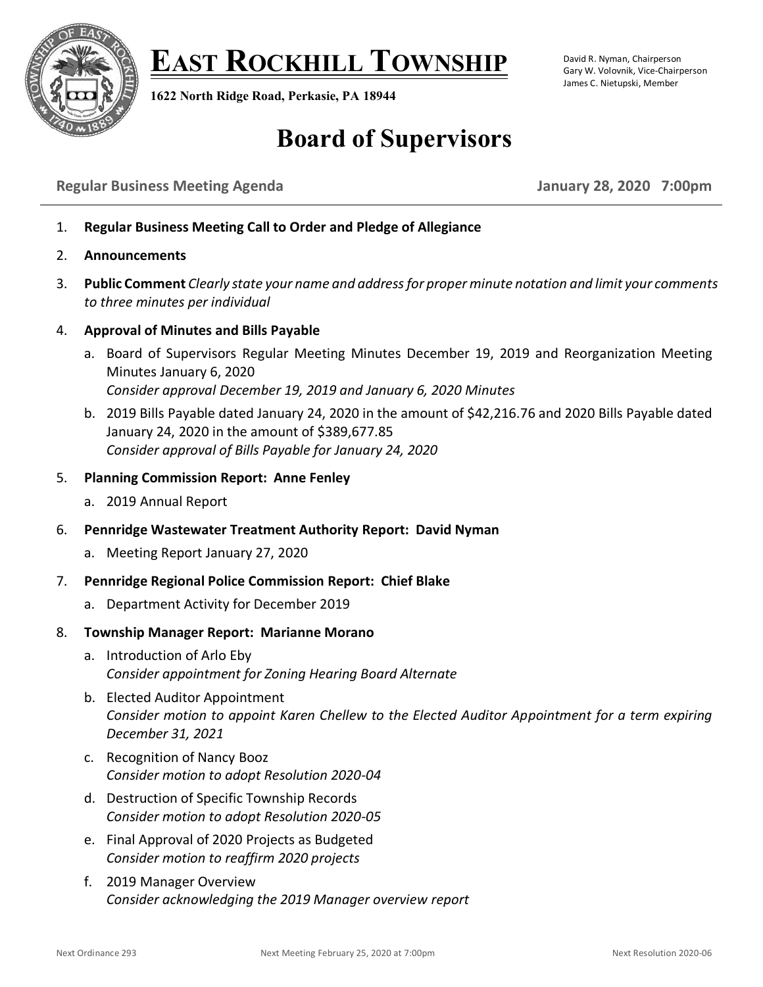

**EAST ROCKHILL TOWNSHIP**

**1622 North Ridge Road, Perkasie, PA 18944**

#### David R. Nyman, Chairperson Gary W. Volovnik, Vice-Chairperson James C. Nietupski, Member

# **Board of Supervisors**

## **Regular Business Meeting Agenda January 28, 2020 7:00pm**

- 1. **Regular Business Meeting Call to Order and Pledge of Allegiance**
- 2. **Announcements**
- 3. **Public Comment** *Clearly state your name and addressfor proper minute notation and limit your comments to three minutes per individual*
- 4. **Approval of Minutes and Bills Payable**
	- a. Board of Supervisors Regular Meeting Minutes December 19, 2019 and Reorganization Meeting Minutes January 6, 2020 *Consider approval December 19, 2019 and January 6, 2020 Minutes*
	- b. 2019 Bills Payable dated January 24, 2020 in the amount of \$42,216.76 and 2020 Bills Payable dated January 24, 2020 in the amount of \$389,677.85 *Consider approval of Bills Payable for January 24, 2020*

### 5. **Planning Commission Report: Anne Fenley**

- a. 2019 Annual Report
- 6. **Pennridge Wastewater Treatment Authority Report: David Nyman**
	- a. Meeting Report January 27, 2020
- 7. **Pennridge Regional Police Commission Report: Chief Blake**
	- a. Department Activity for December 2019

#### 8. **Township Manager Report: Marianne Morano**

- a. Introduction of Arlo Eby *Consider appointment for Zoning Hearing Board Alternate*
- b. Elected Auditor Appointment *Consider motion to appoint Karen Chellew to the Elected Auditor Appointment for a term expiring December 31, 2021*
- c. Recognition of Nancy Booz *Consider motion to adopt Resolution 2020-04*
- d. Destruction of Specific Township Records *Consider motion to adopt Resolution 2020-05*
- e. Final Approval of 2020 Projects as Budgeted *Consider motion to reaffirm 2020 projects*
- f. 2019 Manager Overview *Consider acknowledging the 2019 Manager overview report*